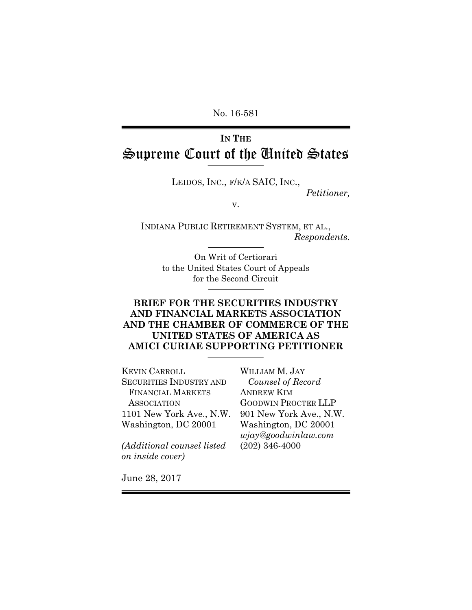No. 16-581

# **IN THE** Supreme Court of the United States

LEIDOS, INC., F/K/A SAIC, INC.,

*Petitioner,* 

v.

INDIANA PUBLIC RETIREMENT SYSTEM, ET AL., *Respondents.* 

On Writ of Certiorari to the United States Court of Appeals for the Second Circuit

# **BRIEF FOR THE SECURITIES INDUSTRY AND FINANCIAL MARKETS ASSOCIATION AND THE CHAMBER OF COMMERCE OF THE UNITED STATES OF AMERICA AS AMICI CURIAE SUPPORTING PETITIONER**

KEVIN CARROLL SECURITIES INDUSTRY AND FINANCIAL MARKETS **ASSOCIATION** 1101 New York Ave., N.W. Washington, DC 20001

*(Additional counsel listed on inside cover)*

WILLIAM M. JAY *Counsel of Record*  ANDREW KIM GOODWIN PROCTER LLP 901 New York Ave., N.W. Washington, DC 20001 *wjay@goodwinlaw.com*  (202) 346-4000

June 28, 2017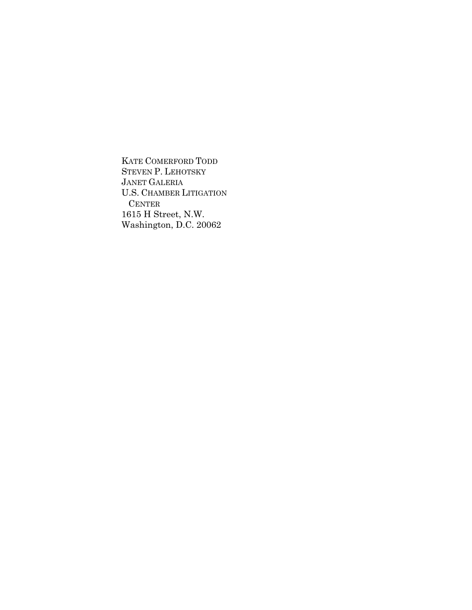KATE COMERFORD TODD STEVEN P. LEHOTSKY JANET GALERIA U.S. CHAMBER LITIGATION CENTER 1615 H Street, N.W. Washington, D.C. 20062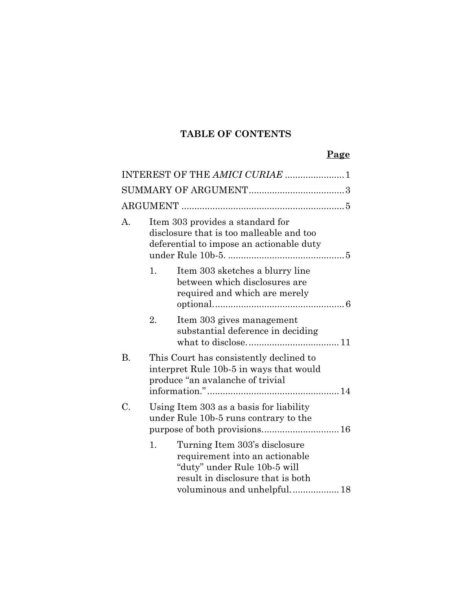# **TABLE OF CONTENTS**

|           |    | INTEREST OF THE AMICI CURIAE  1                                                                                                                                     |  |
|-----------|----|---------------------------------------------------------------------------------------------------------------------------------------------------------------------|--|
|           |    |                                                                                                                                                                     |  |
|           |    |                                                                                                                                                                     |  |
| А.        |    | Item 303 provides a standard for<br>disclosure that is too malleable and too<br>deferential to impose an actionable duty                                            |  |
|           | 1. | Item 303 sketches a blurry line<br>between which disclosures are<br>required and which are merely                                                                   |  |
|           | 2. | Item 303 gives management<br>substantial deference in deciding                                                                                                      |  |
| <b>B.</b> |    | This Court has consistently declined to<br>interpret Rule 10b-5 in ways that would<br>produce "an avalanche of trivial                                              |  |
| C.        |    | Using Item 303 as a basis for liability<br>under Rule 10b-5 runs contrary to the                                                                                    |  |
|           | 1. | Turning Item 303's disclosure<br>requirement into an actionable<br>"duty" under Rule 10b-5 will<br>result in disclosure that is both<br>voluminous and unhelpful 18 |  |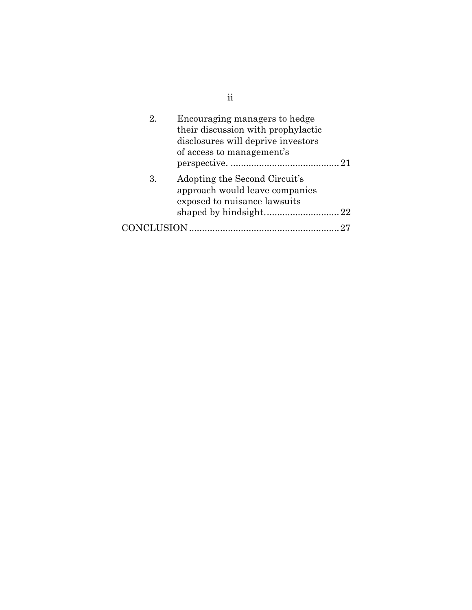| 2.              | Encouraging managers to hedge<br>their discussion with prophylactic<br>disclosures will deprive investors<br>of access to management's |  |
|-----------------|----------------------------------------------------------------------------------------------------------------------------------------|--|
| 3.              | Adopting the Second Circuit's<br>approach would leave companies<br>exposed to nuisance lawsuits                                        |  |
|                 |                                                                                                                                        |  |
| <b>NCLUSION</b> |                                                                                                                                        |  |

ii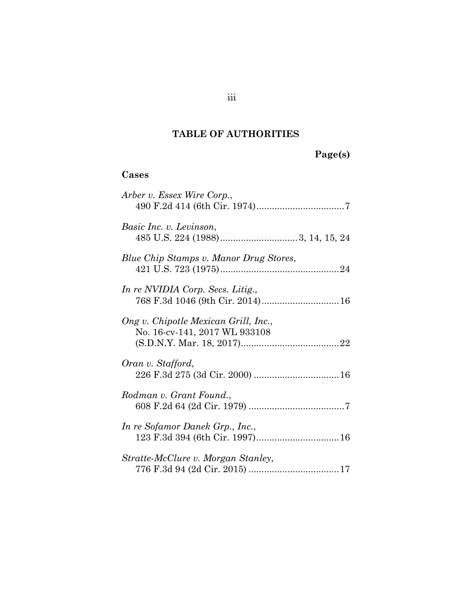# **TABLE OF AUTHORITIES**

# **Page(s)**

# **Cases**

| Arber v. Essex Wire Corp.,                                            |
|-----------------------------------------------------------------------|
| Basic Inc. v. Levinson,                                               |
| Blue Chip Stamps v. Manor Drug Stores,                                |
| In re NVIDIA Corp. Secs. Litig.,                                      |
| Ong v. Chipotle Mexican Grill, Inc.,<br>No. 16-cv-141, 2017 WL 933108 |
| Oran v. Stafford,                                                     |
| Rodman v. Grant Found.,                                               |
| In re Sofamor Danek Grp., Inc.,                                       |
| Stratte-McClure v. Morgan Stanley,                                    |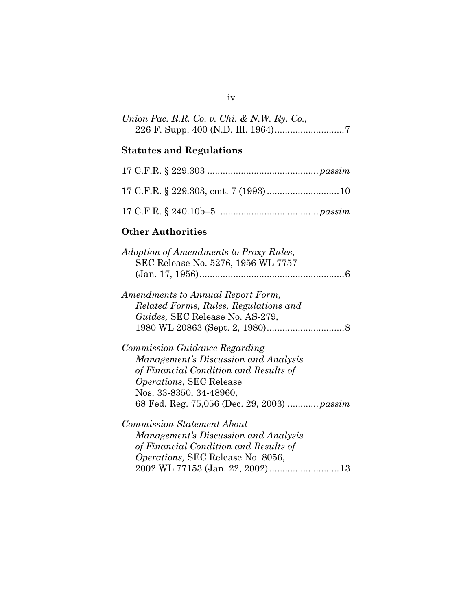| Union Pac. R.R. Co. v. Chi. & N.W. Ry. Co., |  |
|---------------------------------------------|--|
|                                             |  |

# **Statutes and Regulations**

# **Other Authorities**

| <i>Adoption of Amendments to Proxy Rules,</i> |
|-----------------------------------------------|
| SEC Release No. 5276, 1956 WL 7757            |
|                                               |
| Amendments to Annual Report Form,             |
| Related Forms, Rules, Regulations and         |
| Guides, SEC Release No. AS-279,               |
|                                               |
| Commission Guidance Regarding                 |
| Management's Discussion and Analysis          |
| of Financial Condition and Results of         |
| <i>Operations</i> , SEC Release               |
| Nos. 33-8350, 34-48960,                       |
| 68 Fed. Reg. 75,056 (Dec. 29, 2003)  passim   |
| <b>Commission Statement About</b>             |

*Management's Discussion and Analysis of Financial Condition and Results of Operations,* SEC Release No. 8056, 2002 WL 77153 (Jan. 22, 2002) ........................... 13

### iv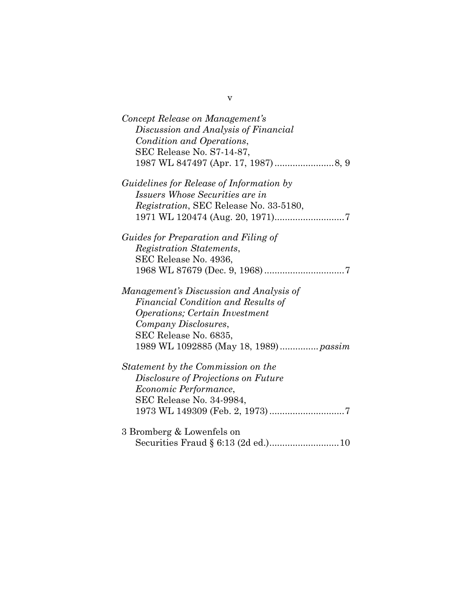| Concept Release on Management's<br>Discussion and Analysis of Financial<br>Condition and Operations,<br>SEC Release No. S7-14-87, |
|-----------------------------------------------------------------------------------------------------------------------------------|
| <i>Guidelines for Release of Information by</i>                                                                                   |
| Issuers Whose Securities are in                                                                                                   |
| Registration, SEC Release No. 33-5180,                                                                                            |
|                                                                                                                                   |
| Guides for Preparation and Filing of                                                                                              |
| Registration Statements,                                                                                                          |
| SEC Release No. 4936,                                                                                                             |
|                                                                                                                                   |
| Management's Discussion and Analysis of                                                                                           |
| Financial Condition and Results of                                                                                                |
| <i><b>Operations</b></i> ; Certain Investment                                                                                     |
| Company Disclosures,                                                                                                              |
| SEC Release No. 6835,                                                                                                             |
|                                                                                                                                   |
| Statement by the Commission on the                                                                                                |
| Disclosure of Projections on Future                                                                                               |
| <i>Economic Performance,</i>                                                                                                      |
| SEC Release No. 34-9984,                                                                                                          |
|                                                                                                                                   |
| 3 Bromberg & Lowenfels on                                                                                                         |
| Securities Fraud § 6:13 (2d ed.)10                                                                                                |

v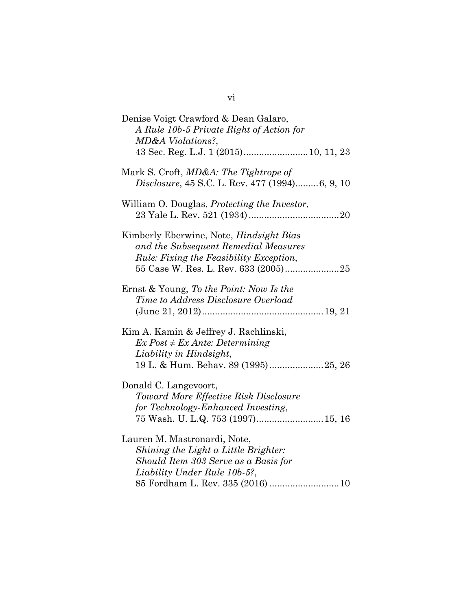| Denise Voigt Crawford & Dean Galaro,<br>A Rule 10b-5 Private Right of Action for<br>MD&A Violations?,                                                                             |
|-----------------------------------------------------------------------------------------------------------------------------------------------------------------------------------|
| Mark S. Croft, <i>MD&amp;A: The Tightrope of</i><br><i>Disclosure, 45 S.C. L. Rev. 477 (1994)6, 9, 10</i>                                                                         |
| William O. Douglas, <i>Protecting the Investor</i> ,                                                                                                                              |
| Kimberly Eberwine, Note, <i>Hindsight Bias</i><br>and the Subsequent Remedial Measures<br><i>Rule: Fixing the Feasibility Exception,</i>                                          |
| Ernst & Young, To the Point: Now Is the<br>Time to Address Disclosure Overload                                                                                                    |
| Kim A. Kamin & Jeffrey J. Rachlinski,<br>$Ex$ Post $\neq Ex$ Ante: Determining<br>Liability in Hindsight,<br>19 L. & Hum. Behav. 89 (1995)25, 26                                  |
| Donald C. Langevoort,<br>Toward More Effective Risk Disclosure<br>for Technology-Enhanced Investing,<br>75 Wash. U. L.Q. 753 (1997) 15, 16                                        |
| Lauren M. Mastronardi, Note,<br>Shining the Light a Little Brighter:<br>Should Item 303 Serve as a Basis for<br>Liability Under Rule 10b-5?,<br>85 Fordham L. Rev. 335 (2016)  10 |

vi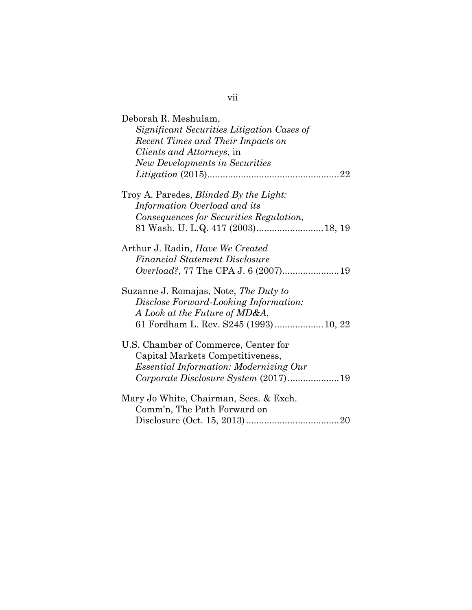| Deborah R. Meshulam,<br>Significant Securities Litigation Cases of<br>Recent Times and Their Impacts on<br><i>Clients and Attorneys, in</i><br><b>New Developments in Securities</b> |
|--------------------------------------------------------------------------------------------------------------------------------------------------------------------------------------|
| Troy A. Paredes, Blinded By the Light:<br>Information Overload and its<br>Consequences for Securities Regulation,                                                                    |
| 81 Wash. U. L.Q. 417 (2003) 18, 19                                                                                                                                                   |
| Arthur J. Radin, <i>Have We Created</i><br><b>Financial Statement Disclosure</b>                                                                                                     |
| Suzanne J. Romajas, Note, The Duty to<br>Disclose Forward-Looking Information:<br>A Look at the Future of MD&A,<br>61 Fordham L. Rev. S245 (1993) 10, 22                             |
| U.S. Chamber of Commerce, Center for<br>Capital Markets Competitiveness,<br><i>Essential Information: Modernizing Our</i><br>Corporate Disclosure System (2017)19                    |
| Mary Jo White, Chairman, Secs. & Exch.<br>Comm'n, The Path Forward on                                                                                                                |

vii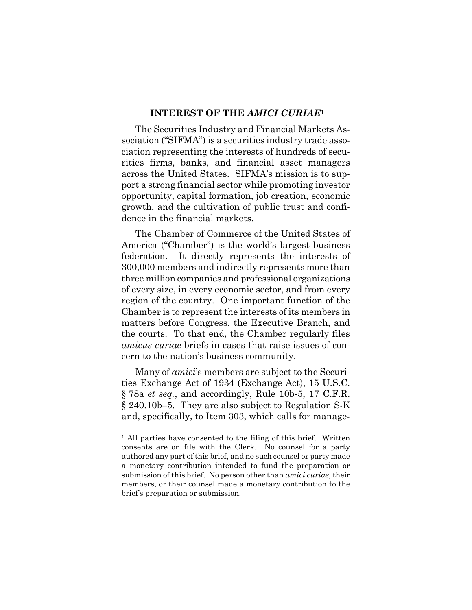#### **INTEREST OF THE** *AMICI CURIAE***<sup>1</sup>**

The Securities Industry and Financial Markets Association ("SIFMA") is a securities industry trade association representing the interests of hundreds of securities firms, banks, and financial asset managers across the United States. SIFMA's mission is to support a strong financial sector while promoting investor opportunity, capital formation, job creation, economic growth, and the cultivation of public trust and confidence in the financial markets.

The Chamber of Commerce of the United States of America ("Chamber") is the world's largest business federation. It directly represents the interests of 300,000 members and indirectly represents more than three million companies and professional organizations of every size, in every economic sector, and from every region of the country. One important function of the Chamber is to represent the interests of its members in matters before Congress, the Executive Branch, and the courts. To that end, the Chamber regularly files *amicus curiae* briefs in cases that raise issues of concern to the nation's business community.

Many of *amici*'s members are subject to the Securities Exchange Act of 1934 (Exchange Act), 15 U.S.C. § 78a *et seq.*, and accordingly, Rule 10b-5, 17 C.F.R. § 240.10b–5. They are also subject to Regulation S-K and, specifically, to Item 303, which calls for manage-

 $\overline{a}$ 

<sup>&</sup>lt;sup>1</sup> All parties have consented to the filing of this brief. Written consents are on file with the Clerk. No counsel for a party authored any part of this brief, and no such counsel or party made a monetary contribution intended to fund the preparation or submission of this brief. No person other than *amici curiae*, their members, or their counsel made a monetary contribution to the brief's preparation or submission.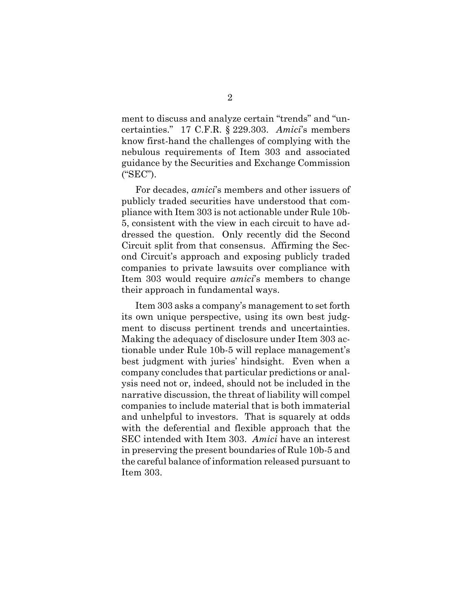ment to discuss and analyze certain "trends" and "uncertainties." 17 C.F.R. § 229.303. *Amici*'s members know first-hand the challenges of complying with the nebulous requirements of Item 303 and associated guidance by the Securities and Exchange Commission ("SEC").

For decades, *amici*'s members and other issuers of publicly traded securities have understood that compliance with Item 303 is not actionable under Rule 10b-5, consistent with the view in each circuit to have addressed the question. Only recently did the Second Circuit split from that consensus. Affirming the Second Circuit's approach and exposing publicly traded companies to private lawsuits over compliance with Item 303 would require *amici*'s members to change their approach in fundamental ways.

Item 303 asks a company's management to set forth its own unique perspective, using its own best judgment to discuss pertinent trends and uncertainties. Making the adequacy of disclosure under Item 303 actionable under Rule 10b-5 will replace management's best judgment with juries' hindsight. Even when a company concludes that particular predictions or analysis need not or, indeed, should not be included in the narrative discussion, the threat of liability will compel companies to include material that is both immaterial and unhelpful to investors. That is squarely at odds with the deferential and flexible approach that the SEC intended with Item 303. *Amici* have an interest in preserving the present boundaries of Rule 10b-5 and the careful balance of information released pursuant to Item 303.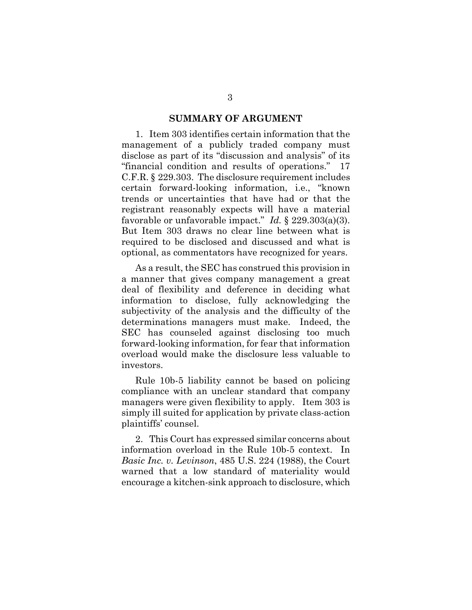#### **SUMMARY OF ARGUMENT**

1. Item 303 identifies certain information that the management of a publicly traded company must disclose as part of its "discussion and analysis" of its "financial condition and results of operations." 17 C.F.R. § 229.303. The disclosure requirement includes certain forward-looking information, i.e., "known trends or uncertainties that have had or that the registrant reasonably expects will have a material favorable or unfavorable impact." *Id.* § 229.303(a)(3). But Item 303 draws no clear line between what is required to be disclosed and discussed and what is optional, as commentators have recognized for years.

As a result, the SEC has construed this provision in a manner that gives company management a great deal of flexibility and deference in deciding what information to disclose, fully acknowledging the subjectivity of the analysis and the difficulty of the determinations managers must make. Indeed, the SEC has counseled against disclosing too much forward-looking information, for fear that information overload would make the disclosure less valuable to investors.

Rule 10b-5 liability cannot be based on policing compliance with an unclear standard that company managers were given flexibility to apply. Item 303 is simply ill suited for application by private class-action plaintiffs' counsel.

2. This Court has expressed similar concerns about information overload in the Rule 10b-5 context. In *Basic Inc. v. Levinson*, 485 U.S. 224 (1988), the Court warned that a low standard of materiality would encourage a kitchen-sink approach to disclosure, which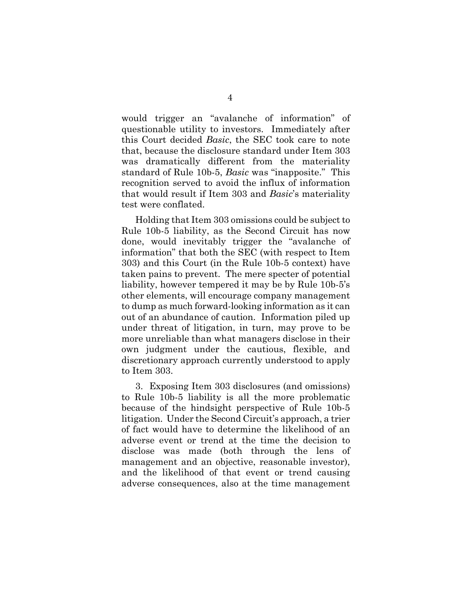would trigger an "avalanche of information" of questionable utility to investors. Immediately after this Court decided *Basic*, the SEC took care to note that, because the disclosure standard under Item 303 was dramatically different from the materiality standard of Rule 10b-5, *Basic* was "inapposite." This recognition served to avoid the influx of information that would result if Item 303 and *Basic*'s materiality test were conflated.

Holding that Item 303 omissions could be subject to Rule 10b-5 liability, as the Second Circuit has now done, would inevitably trigger the "avalanche of information" that both the SEC (with respect to Item 303) and this Court (in the Rule 10b-5 context) have taken pains to prevent. The mere specter of potential liability, however tempered it may be by Rule 10b-5's other elements, will encourage company management to dump as much forward-looking information as it can out of an abundance of caution. Information piled up under threat of litigation, in turn, may prove to be more unreliable than what managers disclose in their own judgment under the cautious, flexible, and discretionary approach currently understood to apply to Item 303.

3. Exposing Item 303 disclosures (and omissions) to Rule 10b-5 liability is all the more problematic because of the hindsight perspective of Rule 10b-5 litigation. Under the Second Circuit's approach, a trier of fact would have to determine the likelihood of an adverse event or trend at the time the decision to disclose was made (both through the lens of management and an objective, reasonable investor), and the likelihood of that event or trend causing adverse consequences, also at the time management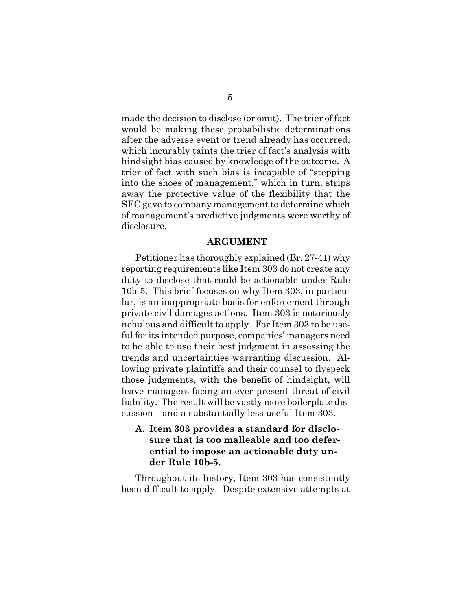made the decision to disclose (or omit). The trier of fact would be making these probabilistic determinations after the adverse event or trend already has occurred, which incurably taints the trier of fact's analysis with hindsight bias caused by knowledge of the outcome. A trier of fact with such bias is incapable of "stepping into the shoes of management," which in turn, strips away the protective value of the flexibility that the SEC gave to company management to determine which of management's predictive judgments were worthy of disclosure.

#### **ARGUMENT**

Petitioner has thoroughly explained (Br. 27-41) why reporting requirements like Item 303 do not create any duty to disclose that could be actionable under Rule 10b-5. This brief focuses on why Item 303, in particular, is an inappropriate basis for enforcement through private civil damages actions. Item 303 is notoriously nebulous and difficult to apply. For Item 303 to be useful for its intended purpose, companies' managers need to be able to use their best judgment in assessing the trends and uncertainties warranting discussion. Allowing private plaintiffs and their counsel to flyspeck those judgments, with the benefit of hindsight, will leave managers facing an ever-present threat of civil liability. The result will be vastly more boilerplate discussion—and a substantially less useful Item 303.

# **A. Item 303 provides a standard for disclosure that is too malleable and too deferential to impose an actionable duty under Rule 10b-5.**

Throughout its history, Item 303 has consistently been difficult to apply. Despite extensive attempts at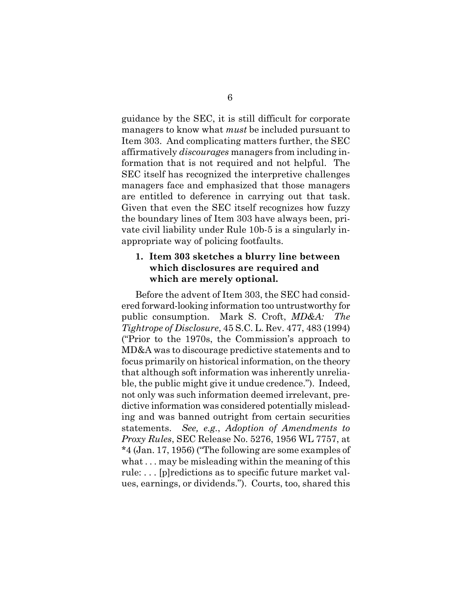guidance by the SEC, it is still difficult for corporate managers to know what *must* be included pursuant to Item 303. And complicating matters further, the SEC affirmatively *discourages* managers from including information that is not required and not helpful. The SEC itself has recognized the interpretive challenges managers face and emphasized that those managers are entitled to deference in carrying out that task. Given that even the SEC itself recognizes how fuzzy the boundary lines of Item 303 have always been, private civil liability under Rule 10b-5 is a singularly inappropriate way of policing footfaults.

### **1. Item 303 sketches a blurry line between which disclosures are required and which are merely optional.**

Before the advent of Item 303, the SEC had considered forward-looking information too untrustworthy for public consumption. Mark S. Croft, *MD&A: The Tightrope of Disclosure*, 45 S.C. L. Rev. 477, 483 (1994) ("Prior to the 1970s, the Commission's approach to MD&A was to discourage predictive statements and to focus primarily on historical information, on the theory that although soft information was inherently unreliable, the public might give it undue credence."). Indeed, not only was such information deemed irrelevant, predictive information was considered potentially misleading and was banned outright from certain securities statements. *See, e.g.*, *Adoption of Amendments to Proxy Rules*, SEC Release No. 5276, 1956 WL 7757, at \*4 (Jan. 17, 1956) ("The following are some examples of what . . . may be misleading within the meaning of this rule: . . . [p]redictions as to specific future market values, earnings, or dividends."). Courts, too, shared this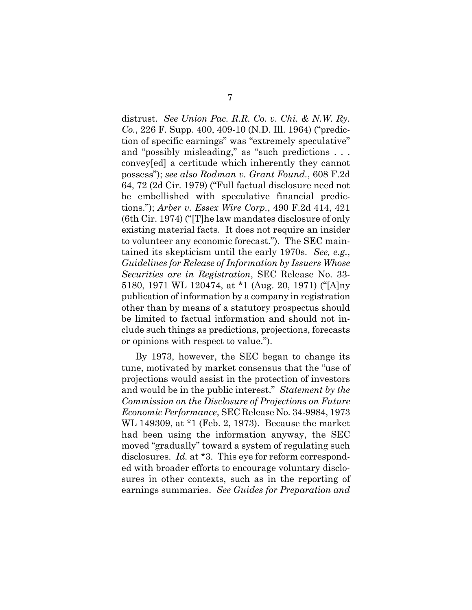distrust. *See Union Pac. R.R. Co. v. Chi. & N.W. Ry. Co.*, 226 F. Supp. 400, 409-10 (N.D. Ill. 1964) ("prediction of specific earnings" was "extremely speculative" and "possibly misleading," as "such predictions . . . convey[ed] a certitude which inherently they cannot possess"); *see also Rodman v. Grant Found.*, 608 F.2d 64, 72 (2d Cir. 1979) ("Full factual disclosure need not be embellished with speculative financial predictions."); *Arber v. Essex Wire Corp.*, 490 F.2d 414, 421 (6th Cir. 1974) ("[T]he law mandates disclosure of only existing material facts. It does not require an insider to volunteer any economic forecast."). The SEC maintained its skepticism until the early 1970s. *See, e.g.*, *Guidelines for Release of Information by Issuers Whose Securities are in Registration*, SEC Release No. 33- 5180, 1971 WL 120474, at \*1 (Aug. 20, 1971) ("[A]ny publication of information by a company in registration other than by means of a statutory prospectus should be limited to factual information and should not include such things as predictions, projections, forecasts or opinions with respect to value.").

By 1973, however, the SEC began to change its tune, motivated by market consensus that the "use of projections would assist in the protection of investors and would be in the public interest." *Statement by the Commission on the Disclosure of Projections on Future Economic Performance*, SEC Release No. 34-9984, 1973 WL 149309, at \*1 (Feb. 2, 1973). Because the market had been using the information anyway, the SEC moved "gradually" toward a system of regulating such disclosures. *Id.* at \*3. This eye for reform corresponded with broader efforts to encourage voluntary disclosures in other contexts, such as in the reporting of earnings summaries. *See Guides for Preparation and*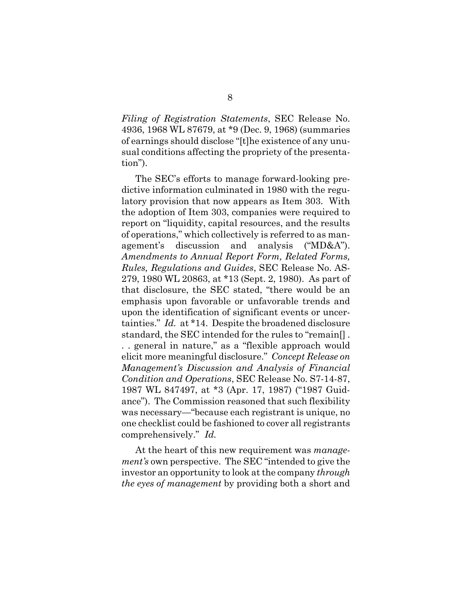*Filing of Registration Statements*, SEC Release No. 4936, 1968 WL 87679, at \*9 (Dec. 9, 1968) (summaries of earnings should disclose "[t]he existence of any unusual conditions affecting the propriety of the presentation").

The SEC's efforts to manage forward-looking predictive information culminated in 1980 with the regulatory provision that now appears as Item 303. With the adoption of Item 303, companies were required to report on "liquidity, capital resources, and the results of operations," which collectively is referred to as management's discussion and analysis ("MD&A"). *Amendments to Annual Report Form, Related Forms, Rules, Regulations and Guides*, SEC Release No. AS-279, 1980 WL 20863, at \*13 (Sept. 2, 1980). As part of that disclosure, the SEC stated, "there would be an emphasis upon favorable or unfavorable trends and upon the identification of significant events or uncertainties." *Id.* at \*14. Despite the broadened disclosure standard, the SEC intended for the rules to "remain[] . . . general in nature," as a "flexible approach would elicit more meaningful disclosure." *Concept Release on Management's Discussion and Analysis of Financial Condition and Operations*, SEC Release No. S7-14-87, 1987 WL 847497, at \*3 (Apr. 17, 1987) ("1987 Guidance"). The Commission reasoned that such flexibility was necessary—"because each registrant is unique, no one checklist could be fashioned to cover all registrants comprehensively." *Id.* 

At the heart of this new requirement was *management's* own perspective. The SEC "intended to give the investor an opportunity to look at the company *through the eyes of management* by providing both a short and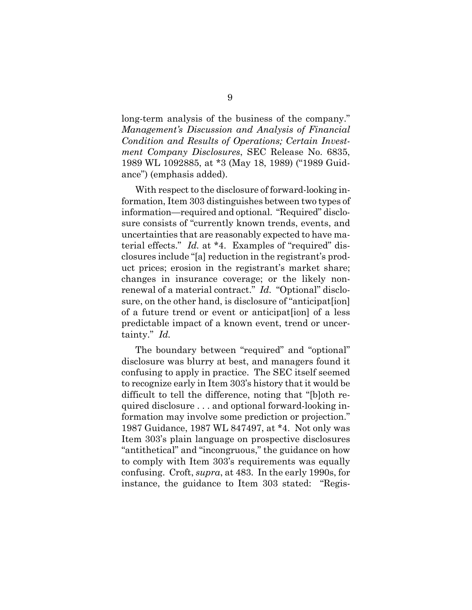long-term analysis of the business of the company." *Management's Discussion and Analysis of Financial Condition and Results of Operations; Certain Investment Company Disclosures*, SEC Release No. 6835, 1989 WL 1092885, at \*3 (May 18, 1989) ("1989 Guidance") (emphasis added).

With respect to the disclosure of forward-looking information, Item 303 distinguishes between two types of information—required and optional. "Required" disclosure consists of "currently known trends, events, and uncertainties that are reasonably expected to have material effects." *Id.* at \*4. Examples of "required" disclosures include "[a] reduction in the registrant's product prices; erosion in the registrant's market share; changes in insurance coverage; or the likely nonrenewal of a material contract." *Id.* "Optional" disclosure, on the other hand, is disclosure of "anticipat[ion] of a future trend or event or anticipat[ion] of a less predictable impact of a known event, trend or uncertainty." *Id.*

The boundary between "required" and "optional" disclosure was blurry at best, and managers found it confusing to apply in practice. The SEC itself seemed to recognize early in Item 303's history that it would be difficult to tell the difference, noting that "[b]oth required disclosure . . . and optional forward-looking information may involve some prediction or projection." 1987 Guidance, 1987 WL 847497, at \*4. Not only was Item 303's plain language on prospective disclosures "antithetical" and "incongruous," the guidance on how to comply with Item 303's requirements was equally confusing. Croft, *supra*, at 483. In the early 1990s, for instance, the guidance to Item 303 stated: "Regis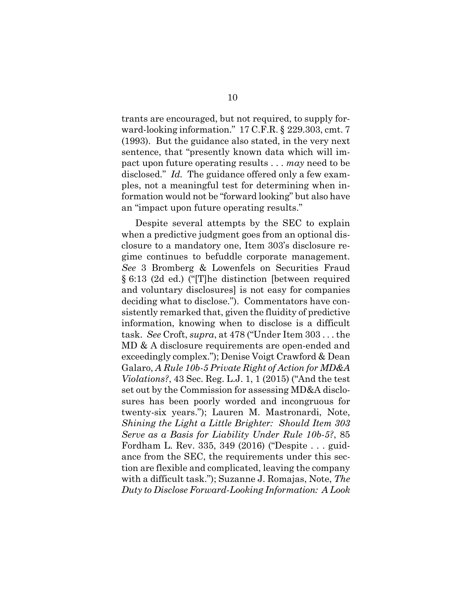trants are encouraged, but not required, to supply forward-looking information." 17 C.F.R. § 229.303, cmt. 7 (1993). But the guidance also stated, in the very next sentence, that "presently known data which will impact upon future operating results . . . *may* need to be disclosed." *Id.* The guidance offered only a few examples, not a meaningful test for determining when information would not be "forward looking" but also have an "impact upon future operating results."

Despite several attempts by the SEC to explain when a predictive judgment goes from an optional disclosure to a mandatory one, Item 303's disclosure regime continues to befuddle corporate management. *See* 3 Bromberg & Lowenfels on Securities Fraud § 6:13 (2d ed.) ("[T]he distinction [between required and voluntary disclosures] is not easy for companies deciding what to disclose."). Commentators have consistently remarked that, given the fluidity of predictive information, knowing when to disclose is a difficult task. *See* Croft, *supra*, at 478 ("Under Item 303 . . . the MD & A disclosure requirements are open-ended and exceedingly complex."); Denise Voigt Crawford & Dean Galaro, *A Rule 10b-5 Private Right of Action for MD&A Violations?*, 43 Sec. Reg. L.J. 1, 1 (2015) ("And the test set out by the Commission for assessing MD&A disclosures has been poorly worded and incongruous for twenty-six years."); Lauren M. Mastronardi, Note, *Shining the Light a Little Brighter: Should Item 303 Serve as a Basis for Liability Under Rule 10b-5?*, 85 Fordham L. Rev. 335, 349 (2016) ("Despite . . . guidance from the SEC, the requirements under this section are flexible and complicated, leaving the company with a difficult task."); Suzanne J. Romajas, Note, *The Duty to Disclose Forward-Looking Information: A Look*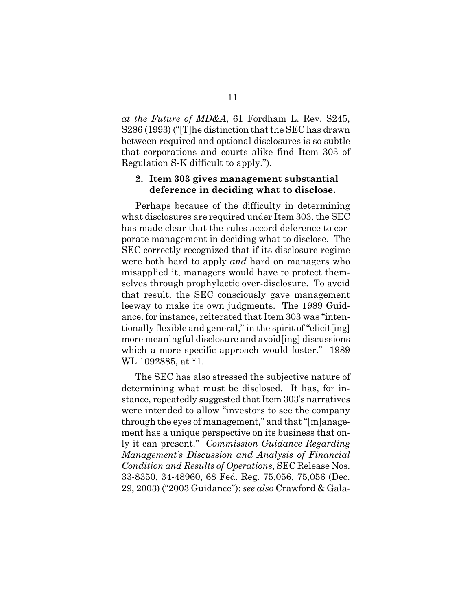*at the Future of MD&A*, 61 Fordham L. Rev. S245, S286 (1993) ("[T]he distinction that the SEC has drawn between required and optional disclosures is so subtle that corporations and courts alike find Item 303 of Regulation S-K difficult to apply.").

#### **2. Item 303 gives management substantial deference in deciding what to disclose.**

Perhaps because of the difficulty in determining what disclosures are required under Item 303, the SEC has made clear that the rules accord deference to corporate management in deciding what to disclose. The SEC correctly recognized that if its disclosure regime were both hard to apply *and* hard on managers who misapplied it, managers would have to protect themselves through prophylactic over-disclosure. To avoid that result, the SEC consciously gave management leeway to make its own judgments. The 1989 Guidance, for instance, reiterated that Item 303 was "intentionally flexible and general," in the spirit of "elicit[ing] more meaningful disclosure and avoid[ing] discussions which a more specific approach would foster." 1989 WL 1092885, at \*1.

The SEC has also stressed the subjective nature of determining what must be disclosed. It has, for instance, repeatedly suggested that Item 303's narratives were intended to allow "investors to see the company through the eyes of management," and that "[m]anagement has a unique perspective on its business that only it can present." *Commission Guidance Regarding Management's Discussion and Analysis of Financial Condition and Results of Operations*, SEC Release Nos. 33-8350, 34-48960, 68 Fed. Reg. 75,056, 75,056 (Dec. 29, 2003) ("2003 Guidance"); *see also* Crawford & Gala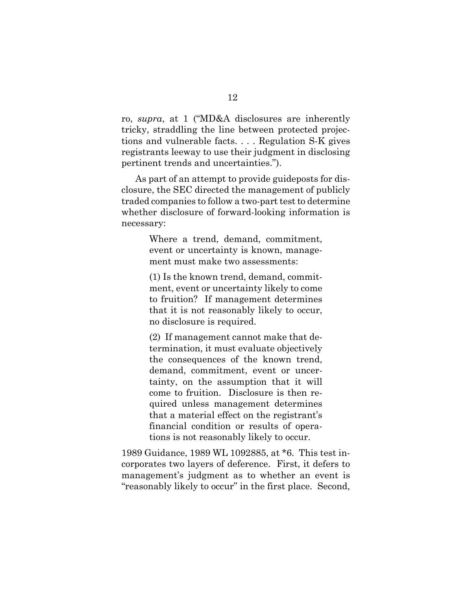ro, *supra*, at 1 ("MD&A disclosures are inherently tricky, straddling the line between protected projections and vulnerable facts. . . . Regulation S-K gives registrants leeway to use their judgment in disclosing pertinent trends and uncertainties.").

As part of an attempt to provide guideposts for disclosure, the SEC directed the management of publicly traded companies to follow a two-part test to determine whether disclosure of forward-looking information is necessary:

> Where a trend, demand, commitment, event or uncertainty is known, management must make two assessments:

> (1) Is the known trend, demand, commitment, event or uncertainty likely to come to fruition? If management determines that it is not reasonably likely to occur, no disclosure is required.

> (2) If management cannot make that determination, it must evaluate objectively the consequences of the known trend, demand, commitment, event or uncertainty, on the assumption that it will come to fruition. Disclosure is then required unless management determines that a material effect on the registrant's financial condition or results of operations is not reasonably likely to occur.

1989 Guidance, 1989 WL 1092885, at \*6. This test incorporates two layers of deference. First, it defers to management's judgment as to whether an event is "reasonably likely to occur" in the first place. Second,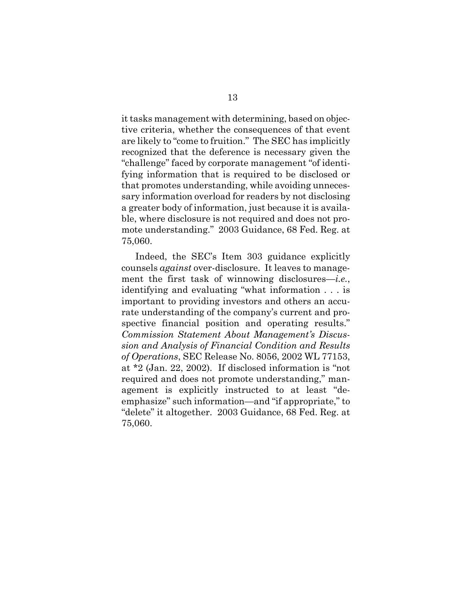it tasks management with determining, based on objective criteria, whether the consequences of that event are likely to "come to fruition." The SEC has implicitly recognized that the deference is necessary given the "challenge" faced by corporate management "of identifying information that is required to be disclosed or that promotes understanding, while avoiding unnecessary information overload for readers by not disclosing a greater body of information, just because it is available, where disclosure is not required and does not promote understanding." 2003 Guidance, 68 Fed. Reg. at 75,060.

Indeed, the SEC's Item 303 guidance explicitly counsels *against* over-disclosure. It leaves to management the first task of winnowing disclosures—*i.e.*, identifying and evaluating "what information . . . is important to providing investors and others an accurate understanding of the company's current and prospective financial position and operating results." *Commission Statement About Management's Discussion and Analysis of Financial Condition and Results of Operations*, SEC Release No. 8056, 2002 WL 77153, at \*2 (Jan. 22, 2002). If disclosed information is "not required and does not promote understanding," management is explicitly instructed to at least "deemphasize" such information—and "if appropriate," to "delete" it altogether. 2003 Guidance, 68 Fed. Reg. at 75,060.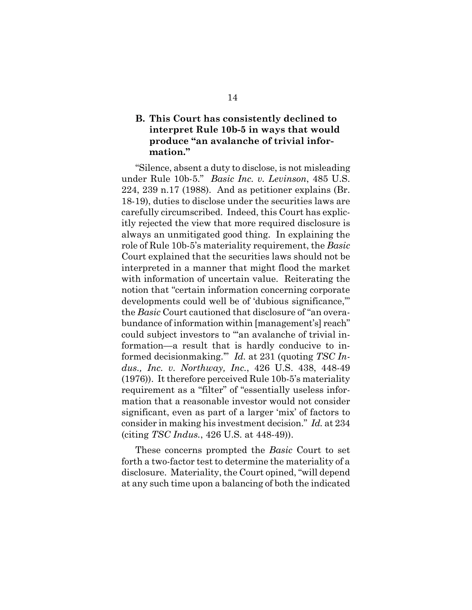# **B. This Court has consistently declined to interpret Rule 10b-5 in ways that would produce "an avalanche of trivial information."**

"Silence, absent a duty to disclose, is not misleading under Rule 10b-5." *Basic Inc. v. Levinson*, 485 U.S. 224, 239 n.17 (1988). And as petitioner explains (Br. 18-19), duties to disclose under the securities laws are carefully circumscribed. Indeed, this Court has explicitly rejected the view that more required disclosure is always an unmitigated good thing. In explaining the role of Rule 10b-5's materiality requirement, the *Basic*  Court explained that the securities laws should not be interpreted in a manner that might flood the market with information of uncertain value. Reiterating the notion that "certain information concerning corporate developments could well be of 'dubious significance,'" the *Basic* Court cautioned that disclosure of "an overabundance of information within [management's] reach" could subject investors to "'an avalanche of trivial information—a result that is hardly conducive to informed decisionmaking.'" *Id.* at 231 (quoting *TSC Indus., Inc. v. Northway, Inc.*, 426 U.S. 438, 448-49 (1976)). It therefore perceived Rule 10b-5's materiality requirement as a "filter" of "essentially useless information that a reasonable investor would not consider significant, even as part of a larger 'mix' of factors to consider in making his investment decision." *Id.* at 234 (citing *TSC Indus.*, 426 U.S. at 448-49)).

These concerns prompted the *Basic* Court to set forth a two-factor test to determine the materiality of a disclosure. Materiality, the Court opined, "will depend at any such time upon a balancing of both the indicated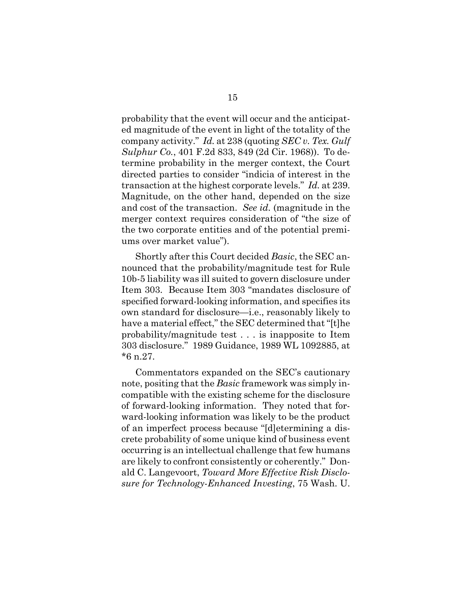probability that the event will occur and the anticipated magnitude of the event in light of the totality of the company activity." *Id.* at 238 (quoting *SEC v. Tex. Gulf Sulphur Co.*, 401 F.2d 833, 849 (2d Cir. 1968)). To determine probability in the merger context, the Court directed parties to consider "indicia of interest in the transaction at the highest corporate levels." *Id.* at 239. Magnitude, on the other hand, depended on the size and cost of the transaction. *See id.* (magnitude in the merger context requires consideration of "the size of the two corporate entities and of the potential premiums over market value").

Shortly after this Court decided *Basic*, the SEC announced that the probability/magnitude test for Rule 10b-5 liability was ill suited to govern disclosure under Item 303. Because Item 303 "mandates disclosure of specified forward-looking information, and specifies its own standard for disclosure—i.e., reasonably likely to have a material effect," the SEC determined that "[t]he probability/magnitude test . . . is inapposite to Item 303 disclosure." 1989 Guidance, 1989 WL 1092885, at \*6 n.27.

Commentators expanded on the SEC's cautionary note, positing that the *Basic* framework was simply incompatible with the existing scheme for the disclosure of forward-looking information. They noted that forward-looking information was likely to be the product of an imperfect process because "[d]etermining a discrete probability of some unique kind of business event occurring is an intellectual challenge that few humans are likely to confront consistently or coherently." Donald C. Langevoort, *Toward More Effective Risk Disclosure for Technology-Enhanced Investing*, 75 Wash. U.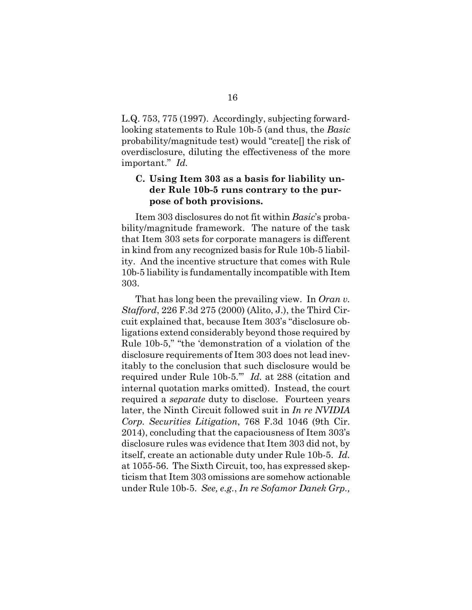L.Q. 753, 775 (1997). Accordingly, subjecting forwardlooking statements to Rule 10b-5 (and thus, the *Basic* probability/magnitude test) would "create[] the risk of overdisclosure, diluting the effectiveness of the more important." *Id.*

# **C. Using Item 303 as a basis for liability under Rule 10b-5 runs contrary to the purpose of both provisions.**

Item 303 disclosures do not fit within *Basic*'s probability/magnitude framework. The nature of the task that Item 303 sets for corporate managers is different in kind from any recognized basis for Rule 10b-5 liability. And the incentive structure that comes with Rule 10b-5 liability is fundamentally incompatible with Item 303.

That has long been the prevailing view. In *Oran v. Stafford*, 226 F.3d 275 (2000) (Alito, J.), the Third Circuit explained that, because Item 303's "disclosure obligations extend considerably beyond those required by Rule 10b-5," "the 'demonstration of a violation of the disclosure requirements of Item 303 does not lead inevitably to the conclusion that such disclosure would be required under Rule 10b-5.'" *Id.* at 288 (citation and internal quotation marks omitted). Instead, the court required a *separate* duty to disclose. Fourteen years later, the Ninth Circuit followed suit in *In re NVIDIA Corp. Securities Litigation*, 768 F.3d 1046 (9th Cir. 2014), concluding that the capaciousness of Item 303's disclosure rules was evidence that Item 303 did not, by itself, create an actionable duty under Rule 10b-5. *Id.* at 1055-56. The Sixth Circuit, too, has expressed skepticism that Item 303 omissions are somehow actionable under Rule 10b-5. *See, e.g.*, *In re Sofamor Danek Grp.,*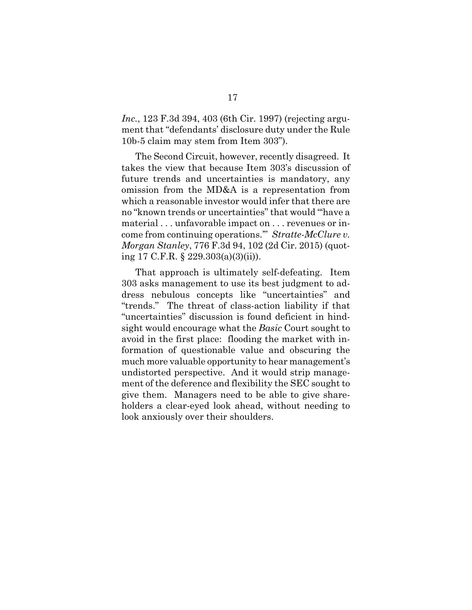*Inc.*, 123 F.3d 394, 403 (6th Cir. 1997) (rejecting argument that "defendants' disclosure duty under the Rule 10b-5 claim may stem from Item 303").

The Second Circuit, however, recently disagreed. It takes the view that because Item 303's discussion of future trends and uncertainties is mandatory, any omission from the MD&A is a representation from which a reasonable investor would infer that there are no "known trends or uncertainties" that would "'have a material . . . unfavorable impact on . . . revenues or income from continuing operations.'" *Stratte-McClure v. Morgan Stanley*, 776 F.3d 94, 102 (2d Cir. 2015) (quoting 17 C.F.R. § 229.303(a)(3)(ii)).

That approach is ultimately self-defeating. Item 303 asks management to use its best judgment to address nebulous concepts like "uncertainties" and "trends." The threat of class-action liability if that "uncertainties" discussion is found deficient in hindsight would encourage what the *Basic* Court sought to avoid in the first place: flooding the market with information of questionable value and obscuring the much more valuable opportunity to hear management's undistorted perspective. And it would strip management of the deference and flexibility the SEC sought to give them. Managers need to be able to give shareholders a clear-eyed look ahead, without needing to look anxiously over their shoulders.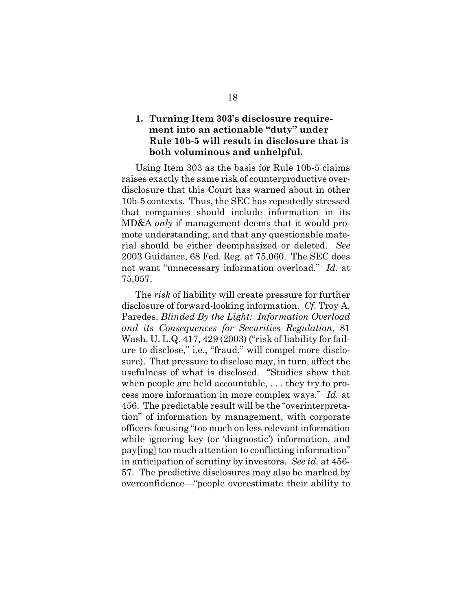## **1. Turning Item 303's disclosure requirement into an actionable "duty" under Rule 10b-5 will result in disclosure that is both voluminous and unhelpful.**

Using Item 303 as the basis for Rule 10b-5 claims raises exactly the same risk of counterproductive overdisclosure that this Court has warned about in other 10b-5 contexts. Thus, the SEC has repeatedly stressed that companies should include information in its MD&A *only* if management deems that it would promote understanding, and that any questionable material should be either deemphasized or deleted. *See*  2003 Guidance, 68 Fed. Reg. at 75,060. The SEC does not want "unnecessary information overload." *Id.* at 75,057.

The *risk* of liability will create pressure for further disclosure of forward-looking information. *Cf.* Troy A. Paredes, *Blinded By the Light: Information Overload and its Consequences for Securities Regulation*, 81 Wash. U. L.Q. 417, 429 (2003) ("risk of liability for failure to disclose," i.e., "fraud," will compel more disclosure). That pressure to disclose may, in turn, affect the usefulness of what is disclosed. "Studies show that when people are held accountable, . . . they try to process more information in more complex ways." *Id.* at 456. The predictable result will be the "overinterpretation" of information by management, with corporate officers focusing "too much on less relevant information while ignoring key (or 'diagnostic') information, and pay[ing] too much attention to conflicting information" in anticipation of scrutiny by investors. *See id.* at 456- 57. The predictive disclosures may also be marked by overconfidence—"people overestimate their ability to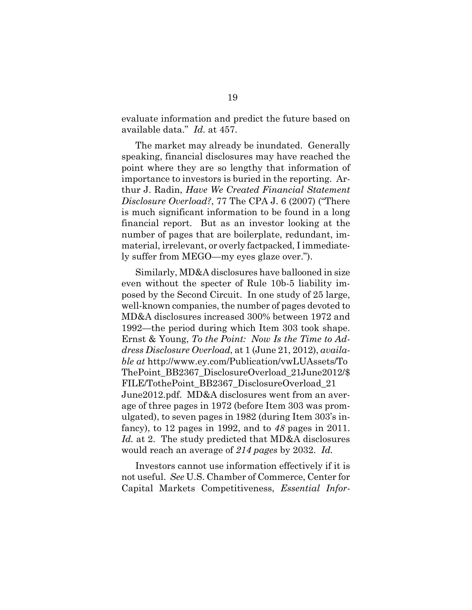evaluate information and predict the future based on available data." *Id.* at 457.

The market may already be inundated. Generally speaking, financial disclosures may have reached the point where they are so lengthy that information of importance to investors is buried in the reporting. Arthur J. Radin, *Have We Created Financial Statement Disclosure Overload?*, 77 The CPA J. 6 (2007) ("There is much significant information to be found in a long financial report. But as an investor looking at the number of pages that are boilerplate, redundant, immaterial, irrelevant, or overly factpacked, I immediately suffer from MEGO—my eyes glaze over.").

Similarly, MD&A disclosures have ballooned in size even without the specter of Rule 10b-5 liability imposed by the Second Circuit. In one study of 25 large, well-known companies, the number of pages devoted to MD&A disclosures increased 300% between 1972 and 1992—the period during which Item 303 took shape. Ernst & Young, *To the Point: Now Is the Time to Address Disclosure Overload*, at 1 (June 21, 2012), *available at* http://www.ey.com/Publication/vwLUAssets/To ThePoint\_BB2367\_DisclosureOverload\_21June2012/\$ FILE/TothePoint\_BB2367\_DisclosureOverload\_21 June2012.pdf. MD&A disclosures went from an average of three pages in 1972 (before Item 303 was promulgated), to seven pages in 1982 (during Item 303's infancy), to 12 pages in 1992, and to *48* pages in 2011. *Id.* at 2. The study predicted that MD&A disclosures would reach an average of *214 pages* by 2032. *Id.*

Investors cannot use information effectively if it is not useful. *See* U.S. Chamber of Commerce, Center for Capital Markets Competitiveness, *Essential Infor-*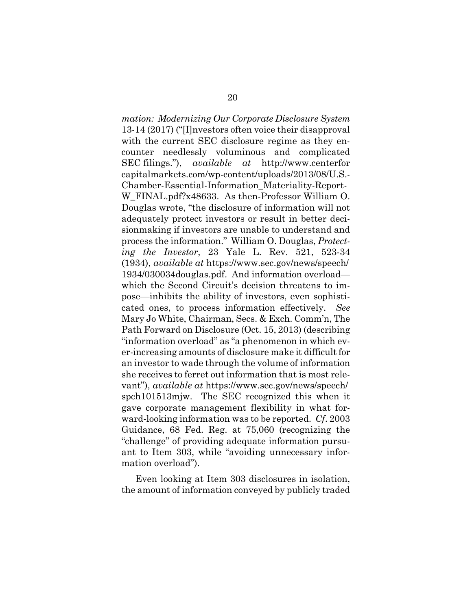*mation: Modernizing Our Corporate Disclosure System*  13-14 (2017) ("[I]nvestors often voice their disapproval with the current SEC disclosure regime as they encounter needlessly voluminous and complicated SEC filings."), *available at* http://www.centerfor capitalmarkets.com/wp-content/uploads/2013/08/U.S.- Chamber-Essential-Information\_Materiality-Report-W\_FINAL.pdf?x48633. As then-Professor William O. Douglas wrote, "the disclosure of information will not adequately protect investors or result in better decisionmaking if investors are unable to understand and process the information." William O. Douglas, *Protecting the Investor*, 23 Yale L. Rev. 521, 523-34 (1934), *available at* https://www.sec.gov/news/speech/ 1934/030034douglas.pdf. And information overload which the Second Circuit's decision threatens to impose—inhibits the ability of investors, even sophisticated ones, to process information effectively. *See*  Mary Jo White, Chairman, Secs. & Exch. Comm'n, The Path Forward on Disclosure (Oct. 15, 2013) (describing "information overload" as "a phenomenon in which ever-increasing amounts of disclosure make it difficult for an investor to wade through the volume of information she receives to ferret out information that is most relevant"), *available at* https://www.sec.gov/news/speech/ spch101513mjw. The SEC recognized this when it gave corporate management flexibility in what forward-looking information was to be reported. *Cf*. 2003 Guidance, 68 Fed. Reg. at 75,060 (recognizing the "challenge" of providing adequate information pursuant to Item 303, while "avoiding unnecessary information overload").

Even looking at Item 303 disclosures in isolation, the amount of information conveyed by publicly traded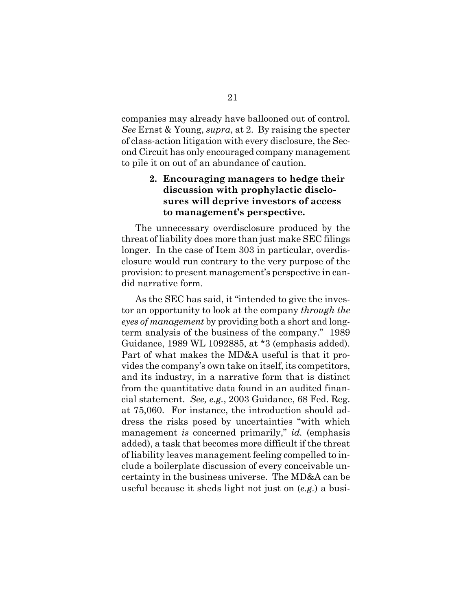companies may already have ballooned out of control. *See* Ernst & Young, *supra*, at 2. By raising the specter of class-action litigation with every disclosure, the Second Circuit has only encouraged company management to pile it on out of an abundance of caution.

# **2. Encouraging managers to hedge their discussion with prophylactic disclosures will deprive investors of access to management's perspective.**

The unnecessary overdisclosure produced by the threat of liability does more than just make SEC filings longer. In the case of Item 303 in particular, overdisclosure would run contrary to the very purpose of the provision: to present management's perspective in candid narrative form.

As the SEC has said, it "intended to give the investor an opportunity to look at the company *through the eyes of management* by providing both a short and longterm analysis of the business of the company." 1989 Guidance, 1989 WL 1092885, at \*3 (emphasis added). Part of what makes the MD&A useful is that it provides the company's own take on itself, its competitors, and its industry, in a narrative form that is distinct from the quantitative data found in an audited financial statement. *See, e.g.*, 2003 Guidance, 68 Fed. Reg. at 75,060. For instance, the introduction should address the risks posed by uncertainties "with which management *is* concerned primarily," *id.* (emphasis added), a task that becomes more difficult if the threat of liability leaves management feeling compelled to include a boilerplate discussion of every conceivable uncertainty in the business universe. The MD&A can be useful because it sheds light not just on (*e.g.*) a busi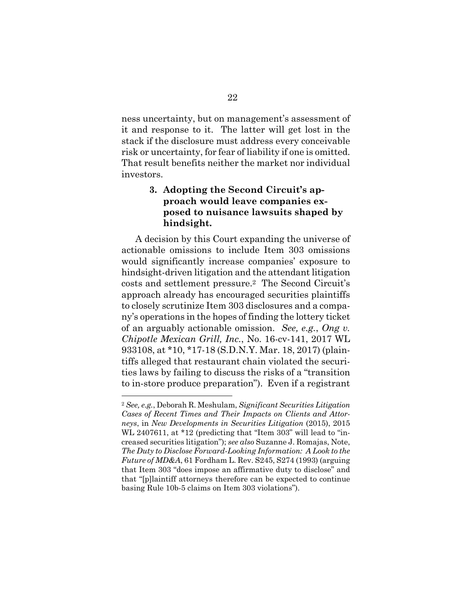ness uncertainty, but on management's assessment of it and response to it. The latter will get lost in the stack if the disclosure must address every conceivable risk or uncertainty, for fear of liability if one is omitted. That result benefits neither the market nor individual investors.

# **3. Adopting the Second Circuit's approach would leave companies exposed to nuisance lawsuits shaped by hindsight.**

A decision by this Court expanding the universe of actionable omissions to include Item 303 omissions would significantly increase companies' exposure to hindsight-driven litigation and the attendant litigation costs and settlement pressure.2 The Second Circuit's approach already has encouraged securities plaintiffs to closely scrutinize Item 303 disclosures and a company's operations in the hopes of finding the lottery ticket of an arguably actionable omission. *See, e.g.*, *Ong v. Chipotle Mexican Grill, Inc.*, No. 16-cv-141, 2017 WL 933108, at \*10, \*17-18 (S.D.N.Y. Mar. 18, 2017) (plaintiffs alleged that restaurant chain violated the securities laws by failing to discuss the risks of a "transition to in-store produce preparation"). Even if a registrant

 $\overline{a}$ 

<sup>2</sup> *See, e.g.*, Deborah R. Meshulam, *Significant Securities Litigation Cases of Recent Times and Their Impacts on Clients and Attorneys*, in *New Developments in Securities Litigation* (2015), 2015 WL 2407611, at \*12 (predicting that "Item 303" will lead to "increased securities litigation"); *see also* Suzanne J. Romajas, Note, *The Duty to Disclose Forward-Looking Information: A Look to the Future of MD&A*, 61 Fordham L. Rev. S245, S274 (1993) (arguing that Item 303 "does impose an affirmative duty to disclose" and that "[p]laintiff attorneys therefore can be expected to continue basing Rule 10b-5 claims on Item 303 violations").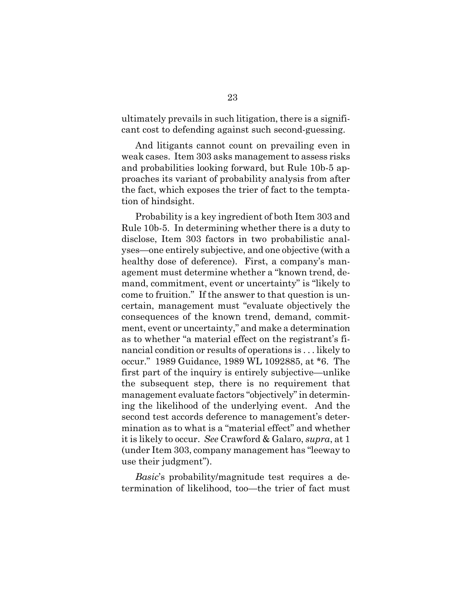ultimately prevails in such litigation, there is a significant cost to defending against such second-guessing.

And litigants cannot count on prevailing even in weak cases. Item 303 asks management to assess risks and probabilities looking forward, but Rule 10b-5 approaches its variant of probability analysis from after the fact, which exposes the trier of fact to the temptation of hindsight.

Probability is a key ingredient of both Item 303 and Rule 10b-5. In determining whether there is a duty to disclose, Item 303 factors in two probabilistic analyses—one entirely subjective, and one objective (with a healthy dose of deference). First, a company's management must determine whether a "known trend, demand, commitment, event or uncertainty" is "likely to come to fruition." If the answer to that question is uncertain, management must "evaluate objectively the consequences of the known trend, demand, commitment, event or uncertainty," and make a determination as to whether "a material effect on the registrant's financial condition or results of operations is . . . likely to occur." 1989 Guidance, 1989 WL 1092885, at \*6. The first part of the inquiry is entirely subjective—unlike the subsequent step, there is no requirement that management evaluate factors "objectively" in determining the likelihood of the underlying event. And the second test accords deference to management's determination as to what is a "material effect" and whether it is likely to occur. *See* Crawford & Galaro, *supra*, at 1 (under Item 303, company management has "leeway to use their judgment").

*Basic*'s probability/magnitude test requires a determination of likelihood, too—the trier of fact must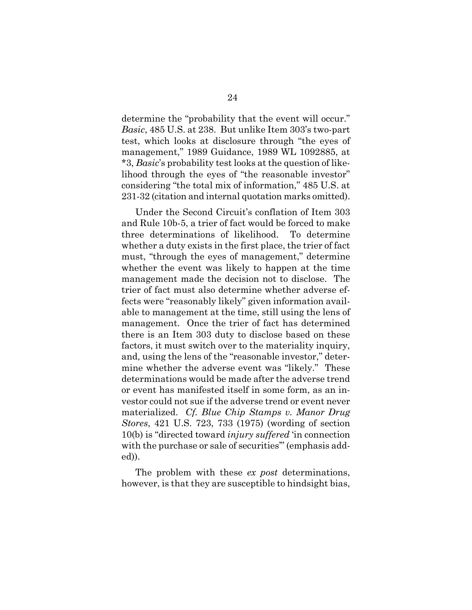determine the "probability that the event will occur." *Basic*, 485 U.S. at 238. But unlike Item 303's two-part test, which looks at disclosure through "the eyes of management," 1989 Guidance, 1989 WL 1092885, at \*3, *Basic*'s probability test looks at the question of likelihood through the eyes of "the reasonable investor" considering "the total mix of information," 485 U.S. at 231-32 (citation and internal quotation marks omitted).

Under the Second Circuit's conflation of Item 303 and Rule 10b-5, a trier of fact would be forced to make three determinations of likelihood. To determine whether a duty exists in the first place, the trier of fact must, "through the eyes of management," determine whether the event was likely to happen at the time management made the decision not to disclose. The trier of fact must also determine whether adverse effects were "reasonably likely" given information available to management at the time, still using the lens of management. Once the trier of fact has determined there is an Item 303 duty to disclose based on these factors, it must switch over to the materiality inquiry, and, using the lens of the "reasonable investor," determine whether the adverse event was "likely." These determinations would be made after the adverse trend or event has manifested itself in some form, as an investor could not sue if the adverse trend or event never materialized. *Cf. Blue Chip Stamps v. Manor Drug Stores*, 421 U.S. 723, 733 (1975) (wording of section 10(b) is "directed toward *injury suffered* 'in connection with the purchase or sale of securities" (emphasis added)).

The problem with these *ex post* determinations, however, is that they are susceptible to hindsight bias,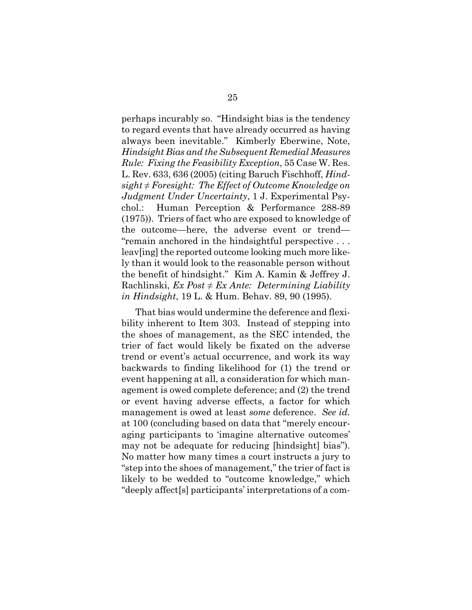perhaps incurably so. "Hindsight bias is the tendency to regard events that have already occurred as having always been inevitable." Kimberly Eberwine, Note, *Hindsight Bias and the Subsequent Remedial Measures Rule: Fixing the Feasibility Exception*, 55 Case W. Res. L. Rev. 633, 636 (2005) (citing Baruch Fischhoff, *Hindsight ≠ Foresight: The Effect of Outcome Knowledge on Judgment Under Uncertainty*, 1 J. Experimental Psychol.: Human Perception & Performance 288-89 (1975)). Triers of fact who are exposed to knowledge of the outcome—here, the adverse event or trend— "remain anchored in the hindsightful perspective . . . leav[ing] the reported outcome looking much more likely than it would look to the reasonable person without the benefit of hindsight." Kim A. Kamin & Jeffrey J. Rachlinski,  $Ex$  *Post*  $\neq Ex$  *Ante: Determining Liability in Hindsight*, 19 L. & Hum. Behav. 89, 90 (1995).

That bias would undermine the deference and flexibility inherent to Item 303. Instead of stepping into the shoes of management, as the SEC intended, the trier of fact would likely be fixated on the adverse trend or event's actual occurrence, and work its way backwards to finding likelihood for (1) the trend or event happening at all, a consideration for which management is owed complete deference; and (2) the trend or event having adverse effects, a factor for which management is owed at least *some* deference. *See id.* at 100 (concluding based on data that "merely encouraging participants to 'imagine alternative outcomes' may not be adequate for reducing [hindsight] bias"). No matter how many times a court instructs a jury to "step into the shoes of management," the trier of fact is likely to be wedded to "outcome knowledge," which "deeply affect[s] participants' interpretations of a com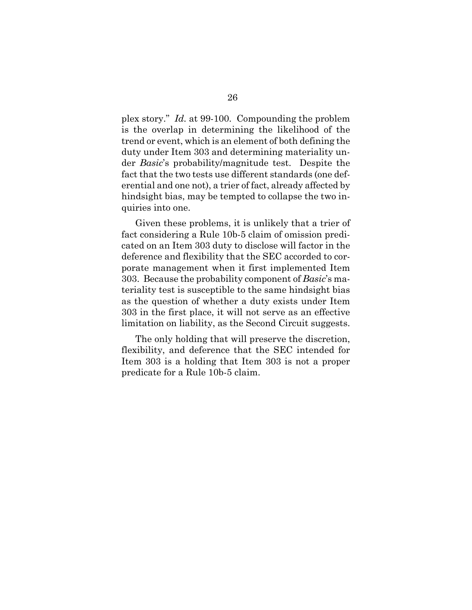plex story." *Id.* at 99-100. Compounding the problem is the overlap in determining the likelihood of the trend or event, which is an element of both defining the duty under Item 303 and determining materiality under *Basic*'s probability/magnitude test. Despite the fact that the two tests use different standards (one deferential and one not), a trier of fact, already affected by hindsight bias, may be tempted to collapse the two inquiries into one.

Given these problems, it is unlikely that a trier of fact considering a Rule 10b-5 claim of omission predicated on an Item 303 duty to disclose will factor in the deference and flexibility that the SEC accorded to corporate management when it first implemented Item 303. Because the probability component of *Basic*'s materiality test is susceptible to the same hindsight bias as the question of whether a duty exists under Item 303 in the first place, it will not serve as an effective limitation on liability, as the Second Circuit suggests.

The only holding that will preserve the discretion, flexibility, and deference that the SEC intended for Item 303 is a holding that Item 303 is not a proper predicate for a Rule 10b-5 claim.